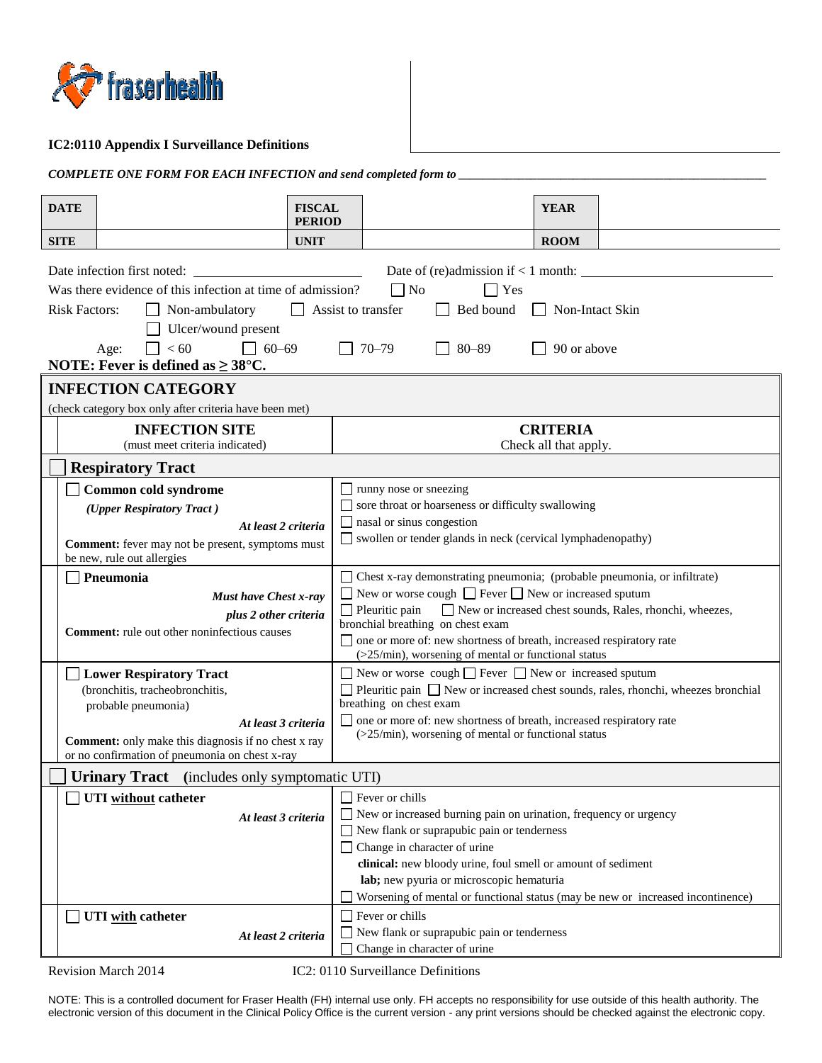

## **IC2:0110 Appendix I Surveillance Definitions**

| <b>COMPLETE ONE FORM FOR EACH INFECTION and send completed form to</b> |
|------------------------------------------------------------------------|
|------------------------------------------------------------------------|

| <b>DATE</b>                                                                                                                                                                                                              | <b>FISCAL</b><br><b>PERIOD</b> | <b>YEAR</b>                                                                                                                                                                                                                                                                                                                                                                                                     |  |  |  |
|--------------------------------------------------------------------------------------------------------------------------------------------------------------------------------------------------------------------------|--------------------------------|-----------------------------------------------------------------------------------------------------------------------------------------------------------------------------------------------------------------------------------------------------------------------------------------------------------------------------------------------------------------------------------------------------------------|--|--|--|
| <b>SITE</b>                                                                                                                                                                                                              | <b>UNIT</b>                    | <b>ROOM</b>                                                                                                                                                                                                                                                                                                                                                                                                     |  |  |  |
| Date infection first noted:<br>Was there evidence of this infection at time of admission?<br><b>Risk Factors:</b><br>Non-ambulatory<br>Ulcer/wound present<br>< 60<br>$\Box$ 60–69<br>Age:                               | Assist to transfer             | $\Box$ Yes<br>$\Box$ No<br>Bed bound<br>Non-Intact Skin<br>$\Box$<br>$70 - 79$<br>$80 - 89$<br>90 or above                                                                                                                                                                                                                                                                                                      |  |  |  |
| NOTE: Fever is defined as $\geq 38^{\circ}$ C.                                                                                                                                                                           |                                |                                                                                                                                                                                                                                                                                                                                                                                                                 |  |  |  |
| <b>INFECTION CATEGORY</b>                                                                                                                                                                                                |                                |                                                                                                                                                                                                                                                                                                                                                                                                                 |  |  |  |
| (check category box only after criteria have been met)                                                                                                                                                                   |                                |                                                                                                                                                                                                                                                                                                                                                                                                                 |  |  |  |
| <b>INFECTION SITE</b><br>(must meet criteria indicated)                                                                                                                                                                  |                                | <b>CRITERIA</b><br>Check all that apply.                                                                                                                                                                                                                                                                                                                                                                        |  |  |  |
| <b>Respiratory Tract</b>                                                                                                                                                                                                 |                                |                                                                                                                                                                                                                                                                                                                                                                                                                 |  |  |  |
| Common cold syndrome                                                                                                                                                                                                     |                                | $\Box$ runny nose or sneezing                                                                                                                                                                                                                                                                                                                                                                                   |  |  |  |
| (Upper Respiratory Tract)                                                                                                                                                                                                |                                | sore throat or hoarseness or difficulty swallowing                                                                                                                                                                                                                                                                                                                                                              |  |  |  |
| At least 2 criteria<br>Comment: fever may not be present, symptoms must<br>be new, rule out allergies                                                                                                                    |                                | $\Box$ nasal or sinus congestion<br>Swollen or tender glands in neck (cervical lymphadenopathy)                                                                                                                                                                                                                                                                                                                 |  |  |  |
| Pneumonia<br><b>Must have Chest x-ray</b><br>plus 2 other criteria<br><b>Comment:</b> rule out other noninfectious causes                                                                                                |                                | □ Chest x-ray demonstrating pneumonia; (probable pneumonia, or infiltrate)<br>$\Box$ New or worse cough $\Box$ Fever $\Box$ New or increased sputum<br>$\Box$ Pleuritic pain<br>New or increased chest sounds, Rales, rhonchi, wheezes,<br>bronchial breathing on chest exam<br>□ one or more of: new shortness of breath, increased respiratory rate<br>$($ >25/min), worsening of mental or functional status |  |  |  |
| Lower Respiratory Tract<br>(bronchitis, tracheobronchitis,<br>probable pneumonia)<br>At least 3 criteria<br><b>Comment:</b> only make this diagnosis if no chest x ray<br>or no confirmation of pneumonia on chest x-ray |                                | $\Box$ New or worse cough $\Box$ Fever $\Box$ New or increased sputum<br>$\Box$ Pleuritic pain $\Box$ New or increased chest sounds, rales, rhonchi, wheezes bronchial<br>breathing on chest exam<br>□ one or more of: new shortness of breath, increased respiratory rate<br>(>25/min), worsening of mental or functional status                                                                               |  |  |  |
| <b>Urinary Tract</b> (includes only symptomatic UTI)                                                                                                                                                                     |                                |                                                                                                                                                                                                                                                                                                                                                                                                                 |  |  |  |
| UTI without catheter<br>At least 3 criteria                                                                                                                                                                              |                                | $\Box$ Fever or chills<br>$\Box$ New or increased burning pain on urination, frequency or urgency<br>New flank or suprapubic pain or tenderness<br>$\Box$ Change in character of urine<br>clinical: new bloody urine, foul smell or amount of sediment<br>lab; new pyuria or microscopic hematuria<br>Worsening of mental or functional status (may be new or increased incontinence)                           |  |  |  |
| UTI with catheter<br>At least 2 criteria                                                                                                                                                                                 |                                | $\Box$ Fever or chills<br>$\Box$ New flank or suprapubic pain or tenderness<br>Change in character of urine                                                                                                                                                                                                                                                                                                     |  |  |  |

Revision March 2014 IC2: 0110 Surveillance Definitions

NOTE: This is a controlled document for Fraser Health (FH) internal use only. FH accepts no responsibility for use outside of this health authority. The electronic version of this document in the Clinical Policy Office is the current version - any print versions should be checked against the electronic copy.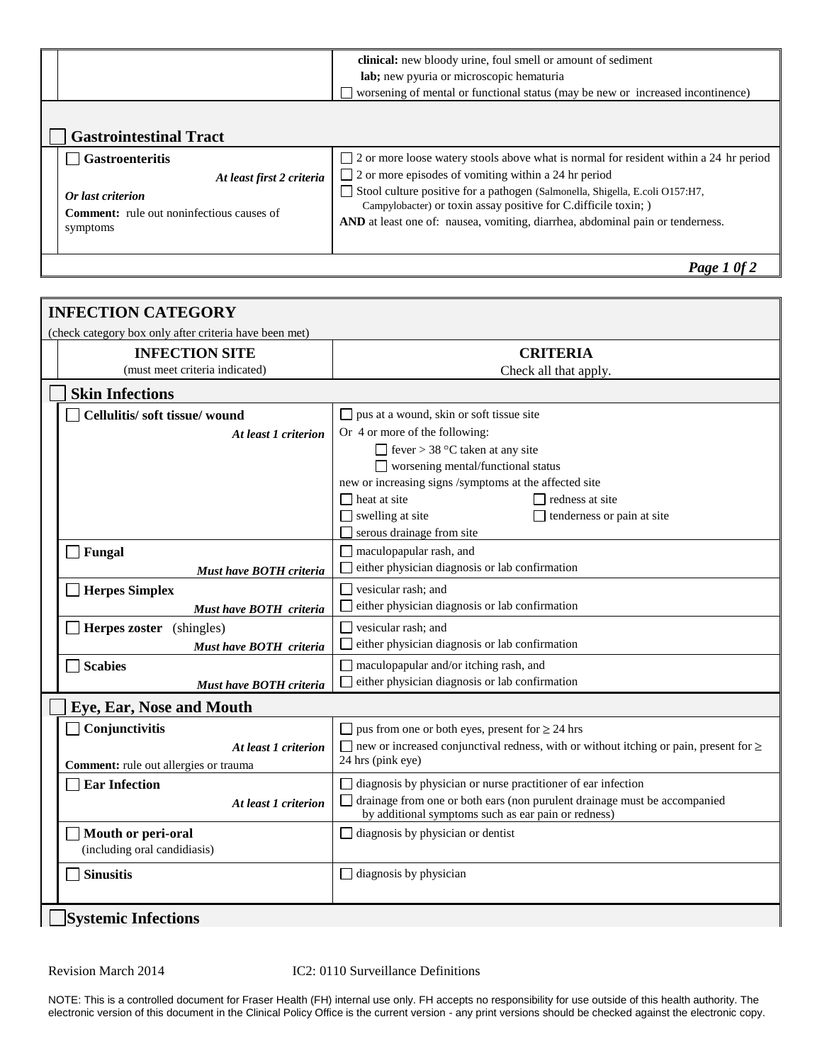|                                                                                                                | clinical: new bloody urine, foul smell or amount of sediment<br>lab; new pyuria or microscopic hematuria<br>worsening of mental or functional status (may be new or increased incontinence)                                                                                                      |  |
|----------------------------------------------------------------------------------------------------------------|--------------------------------------------------------------------------------------------------------------------------------------------------------------------------------------------------------------------------------------------------------------------------------------------------|--|
| <b>Gastrointestinal Tract</b><br><b>Gastroenteritis</b>                                                        | 2 or more loose watery stools above what is normal for resident within a 24 hr period                                                                                                                                                                                                            |  |
| At least first 2 criteria<br>Or last criterion<br><b>Comment:</b> rule out noninfectious causes of<br>symptoms | $\Box$ 2 or more episodes of vomiting within a 24 hr period<br>Stool culture positive for a pathogen (Salmonella, Shigella, E.coli O157:H7,<br>Campylobacter) or toxin assay positive for C.difficile toxin; )<br>AND at least one of: nausea, vomiting, diarrhea, abdominal pain or tenderness. |  |
|                                                                                                                | Page 1 0f 2                                                                                                                                                                                                                                                                                      |  |

|                          | <b>INFECTION CATEGORY</b><br>(check category box only after criteria have been met) |                                                                                                   |  |
|--------------------------|-------------------------------------------------------------------------------------|---------------------------------------------------------------------------------------------------|--|
|                          | <b>INFECTION SITE</b>                                                               | <b>CRITERIA</b>                                                                                   |  |
|                          | (must meet criteria indicated)                                                      | Check all that apply.                                                                             |  |
|                          | <b>Skin Infections</b>                                                              |                                                                                                   |  |
|                          | Cellulitis/soft tissue/wound                                                        | $\Box$ pus at a wound, skin or soft tissue site                                                   |  |
| At least 1 criterion     |                                                                                     | Or 4 or more of the following:                                                                    |  |
|                          |                                                                                     | $\Box$ fever > 38 °C taken at any site                                                            |  |
|                          |                                                                                     | $\Box$ worsening mental/functional status                                                         |  |
|                          |                                                                                     | new or increasing signs /symptoms at the affected site                                            |  |
|                          |                                                                                     | $\Box$ heat at site<br>redness at site                                                            |  |
|                          |                                                                                     | $\Box$ swelling at site<br>tenderness or pain at site                                             |  |
|                          |                                                                                     | serous drainage from site                                                                         |  |
|                          | Fungal                                                                              | $\Box$ maculopapular rash, and                                                                    |  |
|                          | Must have BOTH criteria                                                             | either physician diagnosis or lab confirmation                                                    |  |
|                          | <b>Herpes Simplex</b>                                                               | $\Box$ vesicular rash; and                                                                        |  |
|                          | Must have BOTH criteria                                                             | either physician diagnosis or lab confirmation                                                    |  |
|                          | Herpes zoster (shingles)                                                            | $\Box$ vesicular rash; and                                                                        |  |
|                          | Must have BOTH criteria                                                             | either physician diagnosis or lab confirmation                                                    |  |
|                          | Scabies                                                                             | $\Box$ maculopapular and/or itching rash, and                                                     |  |
|                          | Must have BOTH criteria                                                             | either physician diagnosis or lab confirmation                                                    |  |
| Eye, Ear, Nose and Mouth |                                                                                     |                                                                                                   |  |
|                          | Conjunctivitis                                                                      | $\Box$ pus from one or both eyes, present for $\geq$ 24 hrs                                       |  |
|                          | At least 1 criterion                                                                | $\Box$ new or increased conjunctival redness, with or without itching or pain, present for $\geq$ |  |
|                          | Comment: rule out allergies or trauma                                               | 24 hrs (pink eye)                                                                                 |  |
|                          | <b>Ear Infection</b>                                                                | $\Box$ diagnosis by physician or nurse practitioner of ear infection                              |  |
|                          | At least 1 criterion                                                                | $\Box$ drainage from one or both ears (non purulent drainage must be accompanied                  |  |
|                          |                                                                                     | by additional symptoms such as ear pain or redness)                                               |  |
|                          | Mouth or peri-oral                                                                  | $\Box$ diagnosis by physician or dentist                                                          |  |
|                          | (including oral candidiasis)                                                        |                                                                                                   |  |
|                          | <b>Sinusitis</b>                                                                    | $\Box$ diagnosis by physician                                                                     |  |
|                          |                                                                                     |                                                                                                   |  |
|                          | <b>Systemic Infections</b>                                                          |                                                                                                   |  |

Revision March 2014 IC2: 0110 Surveillance Definitions

NOTE: This is a controlled document for Fraser Health (FH) internal use only. FH accepts no responsibility for use outside of this health authority. The electronic version of this document in the Clinical Policy Office is the current version - any print versions should be checked against the electronic copy.